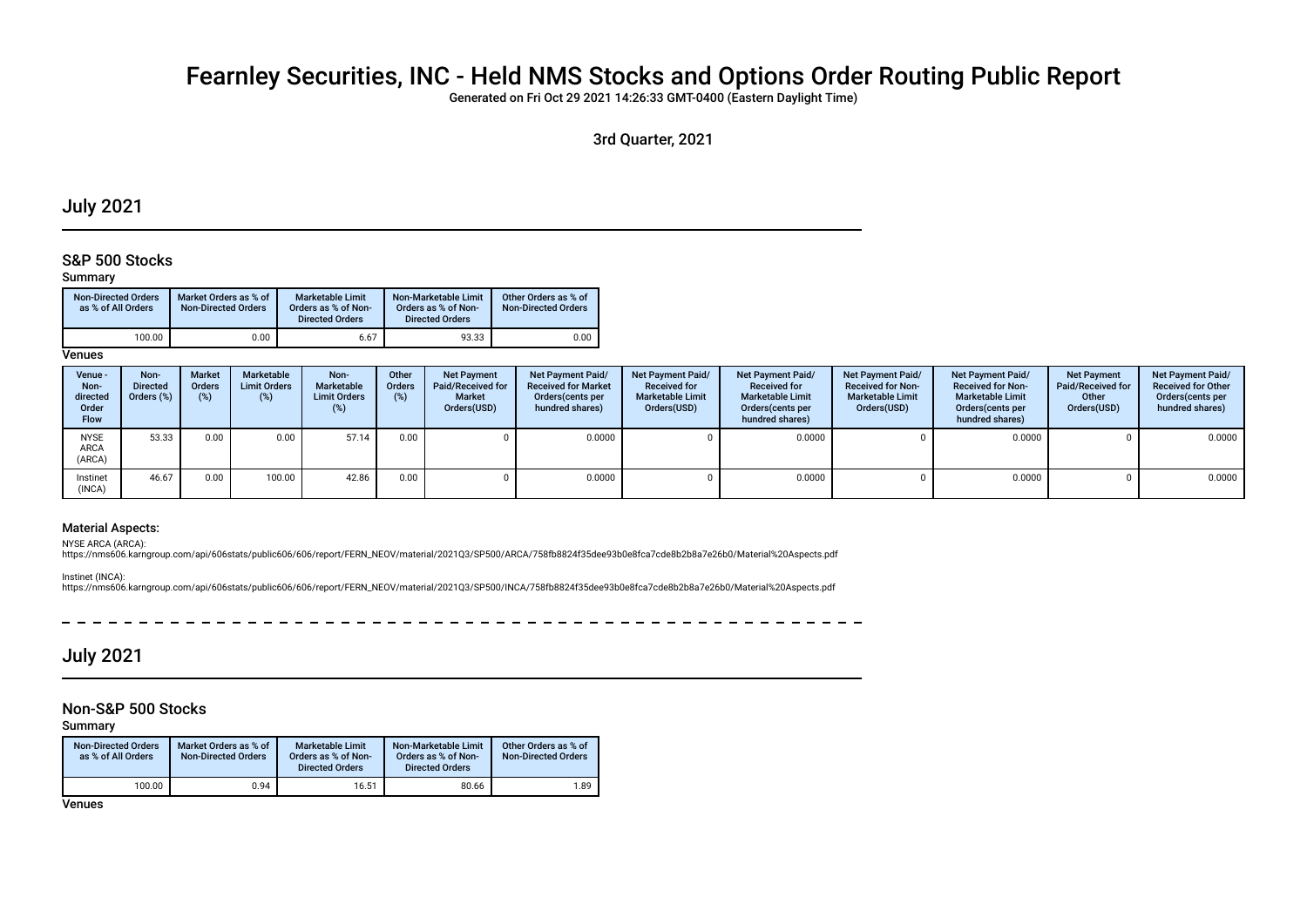# Fearnley Securities, INC - Held NMS Stocks and Options Order Routing Public Report

Generated on Fri Oct 29 2021 14:26:33 GMT-0400 (Eastern Daylight Time)

3rd Quarter, 2021

# July 2021

### S&P 500 Stocks

#### Summary

| <b>Non-Directed Orders</b><br>as % of All Orders | Market Orders as % of<br><b>Non-Directed Orders</b> | <b>Marketable Limit</b><br>Orders as % of Non-<br><b>Directed Orders</b> | Non-Marketable Limit<br>Orders as % of Non-<br><b>Directed Orders</b> | Other Orders as % of<br><b>Non-Directed Orders</b> |
|--------------------------------------------------|-----------------------------------------------------|--------------------------------------------------------------------------|-----------------------------------------------------------------------|----------------------------------------------------|
| 100.00                                           | 0.00                                                | 6.67                                                                     | 93.33                                                                 | 0.00                                               |

**Venues** 

| Venue -<br>Non-<br>directed<br>Order<br><b>Flow</b> | Non-<br><b>Directed</b><br>Orders $(\%)$ | <b>Market</b><br><b>Orders</b><br>(%) | Marketable<br><b>Limit Orders</b><br>(%) | Non-<br>Marketable<br><b>Limit Orders</b><br>(%) | Other<br><b>Orders</b><br>(%) | <b>Net Payment</b><br>Paid/Received for<br><b>Market</b><br>Orders(USD) | Net Payment Paid/<br><b>Received for Market</b><br>Orders (cents per<br>hundred shares) | <b>Net Payment Paid/</b><br><b>Received for</b><br><b>Marketable Limit</b><br>Orders(USD) | <b>Net Payment Paid/</b><br><b>Received for</b><br><b>Marketable Limit</b><br>Orders (cents per<br>hundred shares) | Net Payment Paid/<br><b>Received for Non-</b><br><b>Marketable Limit</b><br>Orders(USD) | <b>Net Payment Paid/</b><br><b>Received for Non-</b><br><b>Marketable Limit</b><br>Orders(cents per<br>hundred shares) | <b>Net Payment</b><br>Paid/Received for<br>Other<br>Orders(USD) | Net Payment Paid/<br><b>Received for Other</b><br>Orders(cents per<br>hundred shares) |
|-----------------------------------------------------|------------------------------------------|---------------------------------------|------------------------------------------|--------------------------------------------------|-------------------------------|-------------------------------------------------------------------------|-----------------------------------------------------------------------------------------|-------------------------------------------------------------------------------------------|--------------------------------------------------------------------------------------------------------------------|-----------------------------------------------------------------------------------------|------------------------------------------------------------------------------------------------------------------------|-----------------------------------------------------------------|---------------------------------------------------------------------------------------|
| <b>NYSE</b><br>ARCA<br>(ARCA)                       | 53.33                                    | 0.00                                  | 0.00                                     | 57.14                                            | 0.00                          |                                                                         | 0.0000                                                                                  |                                                                                           | 0.0000                                                                                                             |                                                                                         | 0.0000                                                                                                                 |                                                                 | 0.0000                                                                                |
| Instinet<br>(INCA)                                  | 46.67                                    | 0.00                                  | 100.00                                   | 42.86                                            | 0.00                          |                                                                         | 0.0000                                                                                  |                                                                                           | 0.0000                                                                                                             |                                                                                         | 0.0000                                                                                                                 |                                                                 | 0.0000                                                                                |

### Material Aspects:

NYSE ARCA (ARCA):

https://nms606.karngroup.com/api/606stats/public606/606/report/FERN\_NEOV/material/2021Q3/SP500/ARCA/758fb8824f35dee93b0e8fca7cde8b2b8a7e26b0/Material%20Aspects.pdf

Instinet (INCA):

https://nms606.karngroup.com/api/606stats/public606/606/report/FERN\_NEOV/material/2021Q3/SP500/INCA/758fb8824f35dee93b0e8fca7cde8b2b8a7e26b0/Material%20Aspects.pdf

# July 2021

### Non-S&P 500 Stocks

Summary

| <b>Non-Directed Orders</b><br>as % of All Orders | Market Orders as % of<br><b>Non-Directed Orders</b> | <b>Marketable Limit</b><br>Orders as % of Non-<br><b>Directed Orders</b> | Non-Marketable Limit<br>Orders as % of Non-<br><b>Directed Orders</b> | Other Orders as % of<br><b>Non-Directed Orders</b> |
|--------------------------------------------------|-----------------------------------------------------|--------------------------------------------------------------------------|-----------------------------------------------------------------------|----------------------------------------------------|
| 100.00                                           | 0.94                                                | 16.51                                                                    | 80.66                                                                 | 1.89                                               |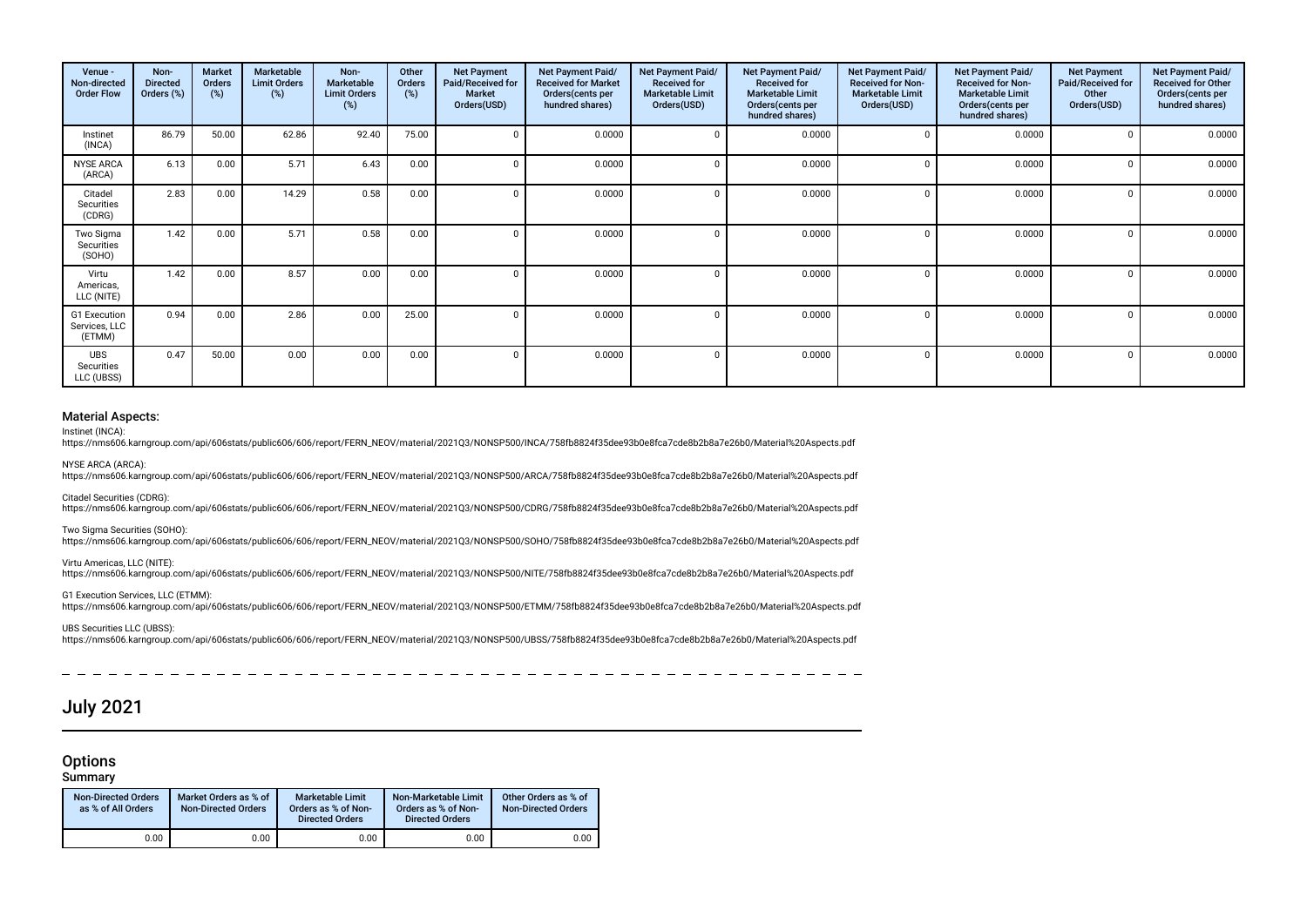| Venue -<br>Non-directed<br><b>Order Flow</b> | Non-<br><b>Directed</b><br>Orders (%) | <b>Market</b><br>Orders<br>(%) | Marketable<br><b>Limit Orders</b><br>(%) | Non-<br>Marketable<br><b>Limit Orders</b><br>(%) | Other<br>Orders<br>$(\%)$ | <b>Net Payment</b><br>Paid/Received for<br>Market<br>Orders(USD) | Net Payment Paid/<br><b>Received for Market</b><br>Orders(cents per<br>hundred shares) | Net Payment Paid/<br><b>Received for</b><br><b>Marketable Limit</b><br>Orders(USD) | Net Payment Paid/<br><b>Received for</b><br><b>Marketable Limit</b><br>Orders (cents per<br>hundred shares) | <b>Net Payment Paid/</b><br><b>Received for Non-</b><br><b>Marketable Limit</b><br>Orders(USD) | Net Payment Paid/<br><b>Received for Non-</b><br><b>Marketable Limit</b><br>Orders(cents per<br>hundred shares) | <b>Net Payment</b><br>Paid/Received for<br>Other<br>Orders(USD) | Net Payment Paid/<br><b>Received for Other</b><br>Orders(cents per<br>hundred shares) |
|----------------------------------------------|---------------------------------------|--------------------------------|------------------------------------------|--------------------------------------------------|---------------------------|------------------------------------------------------------------|----------------------------------------------------------------------------------------|------------------------------------------------------------------------------------|-------------------------------------------------------------------------------------------------------------|------------------------------------------------------------------------------------------------|-----------------------------------------------------------------------------------------------------------------|-----------------------------------------------------------------|---------------------------------------------------------------------------------------|
| Instinet<br>(INCA)                           | 86.79                                 | 50.00                          | 62.86                                    | 92.40                                            | 75.00                     |                                                                  | 0.0000                                                                                 |                                                                                    | 0.0000                                                                                                      |                                                                                                | 0.0000                                                                                                          |                                                                 | 0.0000                                                                                |
| <b>NYSE ARCA</b><br>(ARCA)                   | 6.13                                  | 0.00                           | 5.71                                     | 6.43                                             | 0.00                      | $\Omega$                                                         | 0.0000                                                                                 |                                                                                    | 0.0000                                                                                                      |                                                                                                | 0.0000                                                                                                          |                                                                 | 0.0000                                                                                |
| Citadel<br>Securities<br>(CDRG)              | 2.83                                  | 0.00                           | 14.29                                    | 0.58                                             | 0.00                      | $\Omega$                                                         | 0.0000                                                                                 | C                                                                                  | 0.0000                                                                                                      | n                                                                                              | 0.0000                                                                                                          |                                                                 | 0.0000                                                                                |
| Two Sigma<br>Securities<br>(SOHO)            | 1.42                                  | 0.00                           | 5.71                                     | 0.58                                             | 0.00                      | $\Omega$                                                         | 0.0000                                                                                 |                                                                                    | 0.0000                                                                                                      | $\Omega$                                                                                       | 0.0000                                                                                                          |                                                                 | 0.0000                                                                                |
| Virtu<br>Americas,<br>LLC (NITE)             | 1.42                                  | 0.00                           | 8.57                                     | 0.00                                             | 0.00                      | n                                                                | 0.0000                                                                                 |                                                                                    | 0.0000                                                                                                      |                                                                                                | 0.0000                                                                                                          |                                                                 | 0.0000                                                                                |
| G1 Execution<br>Services, LLC<br>(ETMM)      | 0.94                                  | 0.00                           | 2.86                                     | 0.00                                             | 25.00                     | n                                                                | 0.0000                                                                                 |                                                                                    | 0.0000                                                                                                      |                                                                                                | 0.0000                                                                                                          |                                                                 | 0.0000                                                                                |
| <b>UBS</b><br>Securities<br>LLC (UBSS)       | 0.47                                  | 50.00                          | 0.00                                     | 0.00                                             | 0.00                      | $\Omega$                                                         | 0.0000                                                                                 | C                                                                                  | 0.0000                                                                                                      | 0                                                                                              | 0.0000                                                                                                          |                                                                 | 0.0000                                                                                |

#### Material Aspects:

Instinet (INCA):

https://nms606.karngroup.com/api/606stats/public606/606/report/FERN\_NEOV/material/2021Q3/NONSP500/INCA/758fb8824f35dee93b0e8fca7cde8b2b8a7e26b0/Material%20Aspects.pdf

NYSE ARCA (ARCA):

https://nms606.karngroup.com/api/606stats/public606/606/report/FERN\_NEOV/material/2021Q3/NONSP500/ARCA/758fb8824f35dee93b0e8fca7cde8b2b8a7e26b0/Material%20Aspects.pdf

Citadel Securities (CDRG):

https://nms606.karngroup.com/api/606stats/public606/606/report/FERN\_NEOV/material/2021Q3/NONSP500/CDRG/758fb8824f35dee93b0e8fca7cde8b2b8a7e26b0/Material%20Aspects.pdf

Two Sigma Securities (SOHO):

https://nms606.karngroup.com/api/606stats/public606/606/report/FERN\_NEOV/material/2021Q3/NONSP500/SOHO/758fb8824f35dee93b0e8fca7cde8b2b8a7e26b0/Material%20Aspects.pdf

Virtu Americas, LLC (NITE):

https://nms606.karngroup.com/api/606stats/public606/606/report/FERN\_NEOV/material/2021Q3/NONSP500/NITE/758fb8824f35dee93b0e8fca7cde8b2b8a7e26b0/Material%20Aspects.pdf

G1 Execution Services, LLC (ETMM): https://nms606.karngroup.com/api/606stats/public606/606/report/FERN\_NEOV/material/2021Q3/NONSP500/ETMM/758fb8824f35dee93b0e8fca7cde8b2b8a7e26b0/Material%20Aspects.pdf

UBS Securities LLC (UBSS): https://nms606.karngroup.com/api/606stats/public606/606/report/FERN\_NEOV/material/2021Q3/NONSP500/UBSS/758fb8824f35dee93b0e8fca7cde8b2b8a7e26b0/Material%20Aspects.pdf

# July 2021

### **Options**

Summary

| <b>Non-Directed Orders</b><br>as % of All Orders | Market Orders as % of<br><b>Non-Directed Orders</b> | <b>Marketable Limit</b><br>Orders as % of Non-<br><b>Directed Orders</b> | Non-Marketable Limit<br>Orders as % of Non-<br><b>Directed Orders</b> | Other Orders as % of<br><b>Non-Directed Orders</b> |
|--------------------------------------------------|-----------------------------------------------------|--------------------------------------------------------------------------|-----------------------------------------------------------------------|----------------------------------------------------|
| 0.00                                             | 0.00                                                | 0.00                                                                     | 0.00                                                                  | 0.00                                               |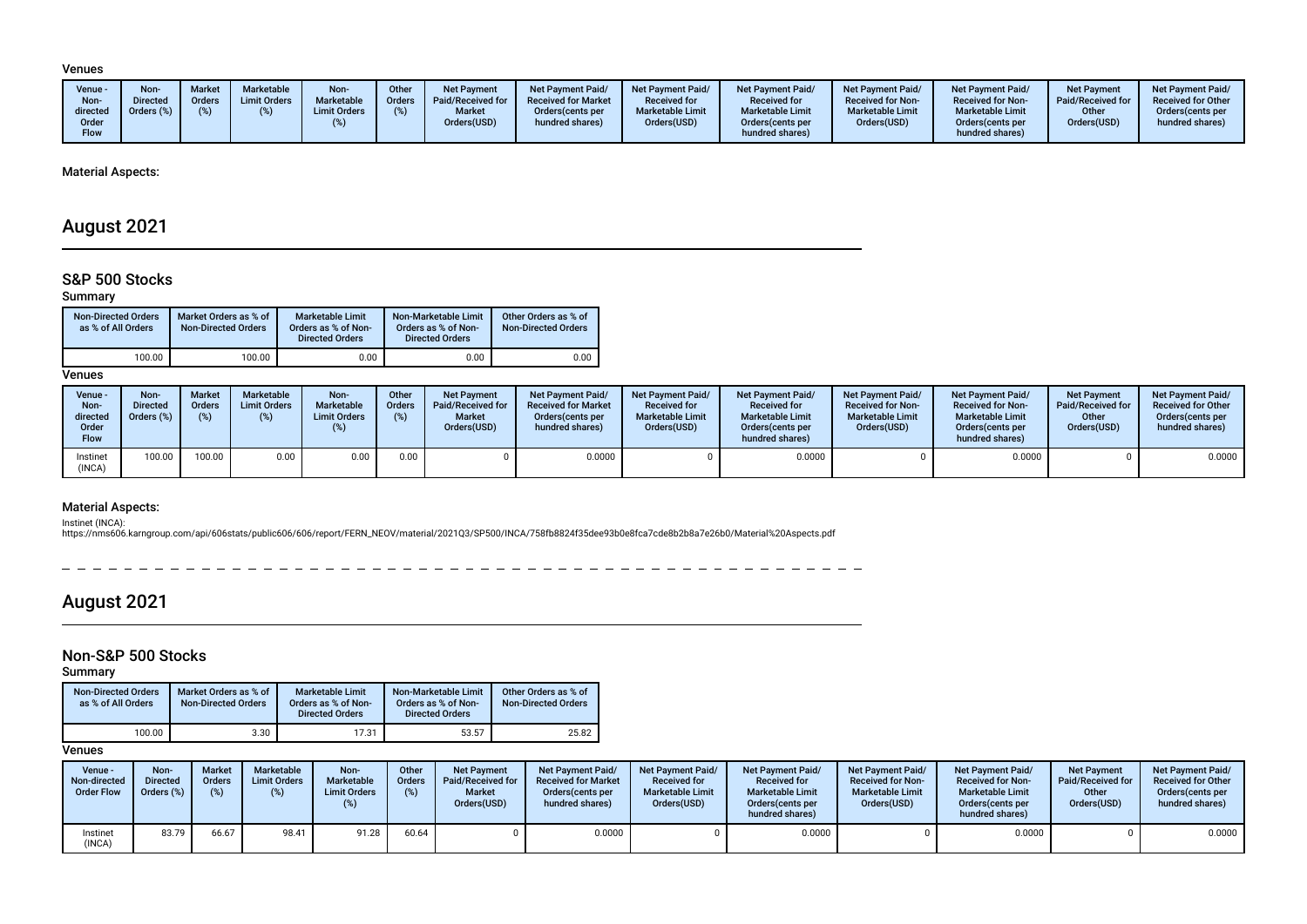#### Venues

| Venue $-$<br>Non-<br>directed<br>)rder<br>Flow | Non-<br><b>Directed</b><br>Orders (%) | <b>Market</b><br>Orders | <b>Marketable</b><br><b>Limit Orders</b> | Non-<br>Marketable<br><b>Limit Orders</b> | Other<br><b>Orders</b> | Net Payment<br>Paid/Received for<br><b>Market</b><br>Orders(USD) | <b>Net Payment Paid/</b><br><b>Received for Market</b><br>Orders (cents per<br>hundred shares) | Net Payment Paid/<br><b>Received for</b><br><b>Marketable Limit</b><br>Orders(USD) | <b>Net Payment Paid/</b><br><b>Received for</b><br><b>Marketable Limit</b><br>Orders (cents per<br>hundred shares) | Net Payment Paid/<br><b>Received for Non-</b><br><b>Marketable Limit</b><br>Orders(USD) | <b>Net Payment Paid/</b><br><b>Received for Non-</b><br><b>Marketable Limit</b><br>Orders (cents per<br>hundred shares) | <b>Net Payment</b><br>Paid/Received for<br>Other<br>Orders(USD) | <b>Net Payment Paid/</b><br><b>Received for Other</b><br>Orders (cents per<br>hundred shares) |
|------------------------------------------------|---------------------------------------|-------------------------|------------------------------------------|-------------------------------------------|------------------------|------------------------------------------------------------------|------------------------------------------------------------------------------------------------|------------------------------------------------------------------------------------|--------------------------------------------------------------------------------------------------------------------|-----------------------------------------------------------------------------------------|-------------------------------------------------------------------------------------------------------------------------|-----------------------------------------------------------------|-----------------------------------------------------------------------------------------------|
|------------------------------------------------|---------------------------------------|-------------------------|------------------------------------------|-------------------------------------------|------------------------|------------------------------------------------------------------|------------------------------------------------------------------------------------------------|------------------------------------------------------------------------------------|--------------------------------------------------------------------------------------------------------------------|-----------------------------------------------------------------------------------------|-------------------------------------------------------------------------------------------------------------------------|-----------------------------------------------------------------|-----------------------------------------------------------------------------------------------|

### Material Aspects:

# August 2021

# S&P 500 Stocks

### Summary

| <b>Non-Directed Orders</b><br>as % of All Orders | Market Orders as % of<br><b>Non-Directed Orders</b> | <b>Marketable Limit</b><br>Orders as % of Non-<br><b>Directed Orders</b> | Non-Marketable Limit<br>Orders as % of Non-<br><b>Directed Orders</b> | Other Orders as % of<br><b>Non-Directed Orders</b> |
|--------------------------------------------------|-----------------------------------------------------|--------------------------------------------------------------------------|-----------------------------------------------------------------------|----------------------------------------------------|
| 100.00                                           | 100.00                                              | 0.00                                                                     | 0.00                                                                  | 0.00                                               |

**Venues** 

| Venue -<br>Non-<br>directed<br>Order<br><b>Flow</b> | Non-<br><b>Directed</b><br>Orders (%) | Market<br>Orders<br>(%) | <b>Marketable</b><br><b>Limit Orders</b><br>/% ነ | Non-<br>Marketable<br><b>Limit Orders</b> | Other<br>Orders<br>(%) | <b>Net Payment</b><br>Paid/Received for<br><b>Market</b><br>Orders(USD) | Net Payment Paid/<br><b>Received for Market</b><br>Orders (cents per<br>hundred shares) | <b>Net Payment Paid/</b><br><b>Received for</b><br><b>Marketable Limit</b><br>Orders(USD) | <b>Net Payment Paid/</b><br><b>Received for</b><br><b>Marketable Limit</b><br>Orders(cents per<br>hundred shares) | <b>Net Payment Paid/</b><br><b>Received for Non-</b><br><b>Marketable Limit</b><br>Orders(USD) | <b>Net Payment Paid/</b><br><b>Received for Non-</b><br><b>Marketable Limit</b><br>Orders(cents per<br>hundred shares) | <b>Net Payment</b><br>Paid/Received for<br>Other<br>Orders(USD) | Net Payment Paid/<br><b>Received for Other</b><br>Orders(cents per<br>hundred shares) |
|-----------------------------------------------------|---------------------------------------|-------------------------|--------------------------------------------------|-------------------------------------------|------------------------|-------------------------------------------------------------------------|-----------------------------------------------------------------------------------------|-------------------------------------------------------------------------------------------|-------------------------------------------------------------------------------------------------------------------|------------------------------------------------------------------------------------------------|------------------------------------------------------------------------------------------------------------------------|-----------------------------------------------------------------|---------------------------------------------------------------------------------------|
| Instinet<br>(INCA)                                  | 100.00                                | 100.00                  | 0.00                                             | 0.00                                      | 0.00                   |                                                                         | 0.0000                                                                                  |                                                                                           | 0.0000                                                                                                            |                                                                                                | 0.0000                                                                                                                 |                                                                 | 0.0000                                                                                |

### Material Aspects:

Instinet (INCA):<br>https://nms606.karngroup.com/api/606stats/public606/606/report/FERN\_NEOV/material/2021Q3/SP500/INCA/758fb8824f35dee93b0e8fca7cde8b2b8a7e26b0/Material%20Aspects.pdf

 $\sim$   $-$ 

# August 2021

# Non-S&P 500 Stocks

Summary

| <b>Non-Directed Orders</b><br>as % of All Orders | Market Orders as % of<br><b>Non-Directed Orders</b> | Marketable Limit<br>Orders as % of Non-<br><b>Directed Orders</b> | Non-Marketable Limit<br>Orders as % of Non-<br><b>Directed Orders</b> | Other Orders as % of<br><b>Non-Directed Orders</b> |
|--------------------------------------------------|-----------------------------------------------------|-------------------------------------------------------------------|-----------------------------------------------------------------------|----------------------------------------------------|
| 100.00                                           | 3.30                                                | 17.31                                                             | 53.57                                                                 | 25.82                                              |

| Venue -<br>Non-directed<br><b>Order Flow</b> | Non-<br>Directed<br>Orders (%) | <b>Market</b><br><b>Orders</b> | Marketable<br><b>Limit Orders</b><br>(%) | Non-<br><b>Marketable</b><br><b>Limit Orders</b> | Other<br><b>Orders</b><br>$(\%)$ | <b>Net Payment</b><br>Paid/Received for<br><b>Market</b><br>Orders(USD) | <b>Net Payment Paid/</b><br><b>Received for Market</b><br>Orders (cents per<br>hundred shares) | Net Payment Paid/<br><b>Received for</b><br><b>Marketable Limit</b><br>Orders(USD) | <b>Net Payment Paid/</b><br><b>Received for</b><br><b>Marketable Limit</b><br>Orders (cents per<br>hundred shares) | Net Payment Paid/<br><b>Received for Non-</b><br><b>Marketable Limit</b><br>Orders(USD) | <b>Net Payment Paid/</b><br><b>Received for Non-</b><br><b>Marketable Limit</b><br>Orders (cents per<br>hundred shares) | <b>Net Payment</b><br>Paid/Received for<br>Other<br>Orders(USD) | <b>Net Payment Paid/</b><br><b>Received for Other</b><br>Orders (cents per<br>hundred shares) |
|----------------------------------------------|--------------------------------|--------------------------------|------------------------------------------|--------------------------------------------------|----------------------------------|-------------------------------------------------------------------------|------------------------------------------------------------------------------------------------|------------------------------------------------------------------------------------|--------------------------------------------------------------------------------------------------------------------|-----------------------------------------------------------------------------------------|-------------------------------------------------------------------------------------------------------------------------|-----------------------------------------------------------------|-----------------------------------------------------------------------------------------------|
| Instinet<br>(INCA)                           | 83.79                          | 66.67                          | 98.41                                    | 91.28                                            | 60.64                            |                                                                         | 0.0000                                                                                         |                                                                                    | 0.0000                                                                                                             |                                                                                         | 0.0000                                                                                                                  |                                                                 | 0.0000                                                                                        |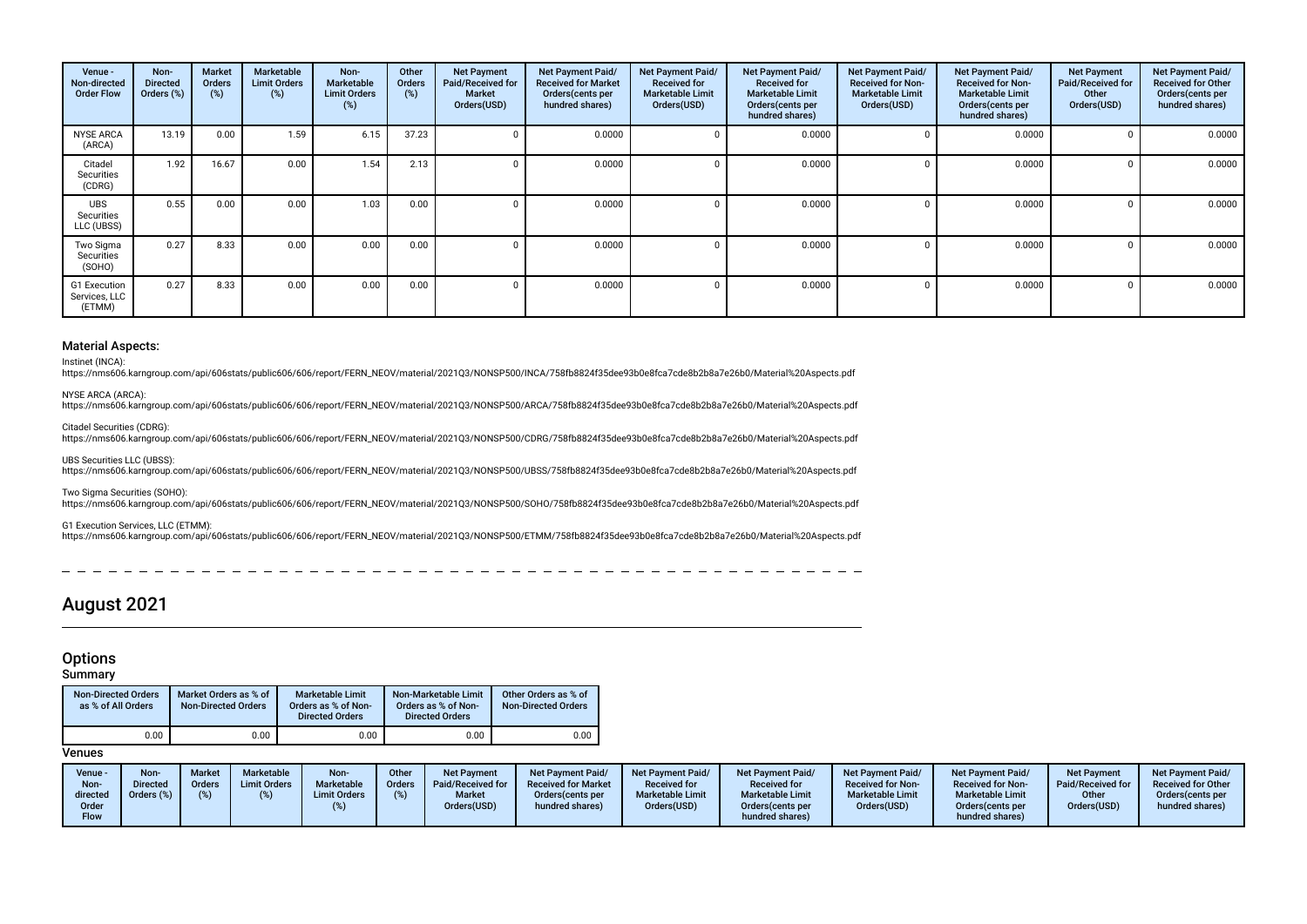| Venue -<br>Non-directed<br><b>Order Flow</b> | Non-<br><b>Directed</b><br>Orders (%) | <b>Market</b><br>Orders<br>(%) | Marketable<br><b>Limit Orders</b><br>(%) | Non-<br><b>Marketable</b><br><b>Limit Orders</b><br>(%) | Other<br><b>Orders</b><br>(%) | <b>Net Payment</b><br>Paid/Received for<br><b>Market</b><br>Orders(USD) | Net Payment Paid/<br><b>Received for Market</b><br>Orders(cents per<br>hundred shares) | Net Payment Paid/<br><b>Received for</b><br><b>Marketable Limit</b><br>Orders(USD) | Net Payment Paid/<br><b>Received for</b><br><b>Marketable Limit</b><br>Orders(cents per<br>hundred shares) | Net Payment Paid/<br><b>Received for Non-</b><br><b>Marketable Limit</b><br>Orders(USD) | Net Payment Paid/<br><b>Received for Non-</b><br><b>Marketable Limit</b><br>Orders (cents per<br>hundred shares) | <b>Net Payment</b><br>Paid/Received for<br>Other<br>Orders(USD) | Net Payment Paid/<br><b>Received for Other</b><br>Orders (cents per<br>hundred shares) |
|----------------------------------------------|---------------------------------------|--------------------------------|------------------------------------------|---------------------------------------------------------|-------------------------------|-------------------------------------------------------------------------|----------------------------------------------------------------------------------------|------------------------------------------------------------------------------------|------------------------------------------------------------------------------------------------------------|-----------------------------------------------------------------------------------------|------------------------------------------------------------------------------------------------------------------|-----------------------------------------------------------------|----------------------------------------------------------------------------------------|
| <b>NYSE ARCA</b><br>(ARCA)                   | 13.19                                 | 0.00                           | 1.59                                     | 6.15                                                    | 37.23                         |                                                                         | 0.0000                                                                                 | 0                                                                                  | 0.0000                                                                                                     |                                                                                         | 0.0000                                                                                                           |                                                                 | 0.0000                                                                                 |
| Citadel<br>Securities<br>(CDRG)              | 1.92                                  | 16.67                          | 0.00                                     | 1.54                                                    | 2.13                          |                                                                         | 0.0000                                                                                 |                                                                                    | 0.0000                                                                                                     |                                                                                         | 0.0000                                                                                                           |                                                                 | 0.0000                                                                                 |
| <b>UBS</b><br>Securities<br>LLC (UBSS)       | 0.55                                  | 0.00                           | 0.00                                     | 1.03                                                    | 0.00                          |                                                                         | 0.0000                                                                                 |                                                                                    | 0.0000                                                                                                     |                                                                                         | 0.0000                                                                                                           |                                                                 | 0.0000                                                                                 |
| Two Sigma<br>Securities<br>(SOHO)            | 0.27                                  | 8.33                           | 0.00                                     | 0.00                                                    | 0.00                          |                                                                         | 0.0000                                                                                 |                                                                                    | 0.0000                                                                                                     |                                                                                         | 0.0000                                                                                                           |                                                                 | 0.0000                                                                                 |
| G1 Execution<br>Services, LLC<br>(ETMM)      | 0.27                                  | 8.33                           | 0.00                                     | 0.00                                                    | 0.00                          |                                                                         | 0.0000                                                                                 | $\Omega$                                                                           | 0.0000                                                                                                     |                                                                                         | 0.0000                                                                                                           |                                                                 | 0.0000                                                                                 |

#### Material Aspects:

Instinet (INCA):

https://nms606.karngroup.com/api/606stats/public606/606/report/FERN\_NEOV/material/2021Q3/NONSP500/INCA/758fb8824f35dee93b0e8fca7cde8b2b8a7e26b0/Material%20Aspects.pdf

NYSE ARCA (ARCA):

https://nms606.karngroup.com/api/606stats/public606/606/report/FERN\_NEOV/material/2021Q3/NONSP500/ARCA/758fb8824f35dee93b0e8fca7cde8b2b8a7e26b0/Material%20Aspects.pdf

Citadel Securities (CDRG): https://nms606.karngroup.com/api/606stats/public606/606/report/FERN\_NEOV/material/2021Q3/NONSP500/CDRG/758fb8824f35dee93b0e8fca7cde8b2b8a7e26b0/Material%20Aspects.pdf

UBS Securities LLC (UBSS): https://nms606.karngroup.com/api/606stats/public606/606/report/FERN\_NEOV/material/2021Q3/NONSP500/UBSS/758fb8824f35dee93b0e8fca7cde8b2b8a7e26b0/Material%20Aspects.pdf

Two Sigma Securities (SOHO): https://nms606.karngroup.com/api/606stats/public606/606/report/FERN\_NEOV/material/2021Q3/NONSP500/SOHO/758fb8824f35dee93b0e8fca7cde8b2b8a7e26b0/Material%20Aspects.pdf

G1 Execution Services, LLC (ETMM):

https://nms606.karngroup.com/api/606stats/public606/606/report/FERN\_NEOV/material/2021Q3/NONSP500/ETMM/758fb8824f35dee93b0e8fca7cde8b2b8a7e26b0/Material%20Aspects.pdf

# August 2021

# **Options**

#### Summary

| <b>Non-Directed Orders</b><br>as % of All Orders | Market Orders as % of<br><b>Non-Directed Orders</b> | <b>Marketable Limit</b><br>Orders as % of Non-<br><b>Directed Orders</b> | Non-Marketable Limit<br>Orders as % of Non-<br><b>Directed Orders</b> | Other Orders as % of<br><b>Non-Directed Orders</b> |
|--------------------------------------------------|-----------------------------------------------------|--------------------------------------------------------------------------|-----------------------------------------------------------------------|----------------------------------------------------|
| 0.00                                             | 0.00                                                | 0.00                                                                     | 0.00                                                                  | 0.00                                               |

| Venue -<br>Non-<br>directed<br>Order | <b>Non-</b><br><b>Directed</b><br>Orders (%) | <b>Market</b><br><b>Orders</b> | Marketable<br><b>Limit Orders</b> | Non-<br>Marketable<br><b>Limit Orders</b> | Other<br><b>Orders</b> | <b>Net Payment</b><br>Paid/Received for<br><b>Market</b><br>Orders(USD) | Net Payment Paid/<br><b>Received for Market</b><br>Orders (cents per<br>hundred shares) | <b>Net Payment Paid/</b><br><b>Received for</b><br><b>Marketable Limit</b><br>Orders(USD) | <b>Net Payment Paid/</b><br><b>Received for</b><br><b>Marketable Limit</b><br>Orders (cents per | Net Payment Paid/<br><b>Received for Non-</b><br><b>Marketable Limit</b><br>Orders(USD) | <b>Net Payment Paid/</b><br><b>Received for Non-</b><br><b>Marketable Limit</b><br>Orders(cents per | Net Payment<br>Paid/Received for<br>Other<br>Orders(USD) | <b>Net Payment Paid/</b><br><b>Received for Other</b><br>Orders(cents per<br>hundred shares) |
|--------------------------------------|----------------------------------------------|--------------------------------|-----------------------------------|-------------------------------------------|------------------------|-------------------------------------------------------------------------|-----------------------------------------------------------------------------------------|-------------------------------------------------------------------------------------------|-------------------------------------------------------------------------------------------------|-----------------------------------------------------------------------------------------|-----------------------------------------------------------------------------------------------------|----------------------------------------------------------|----------------------------------------------------------------------------------------------|
| Flow                                 |                                              |                                |                                   |                                           |                        |                                                                         |                                                                                         |                                                                                           | hundred shares)                                                                                 |                                                                                         | hundred shares)                                                                                     |                                                          |                                                                                              |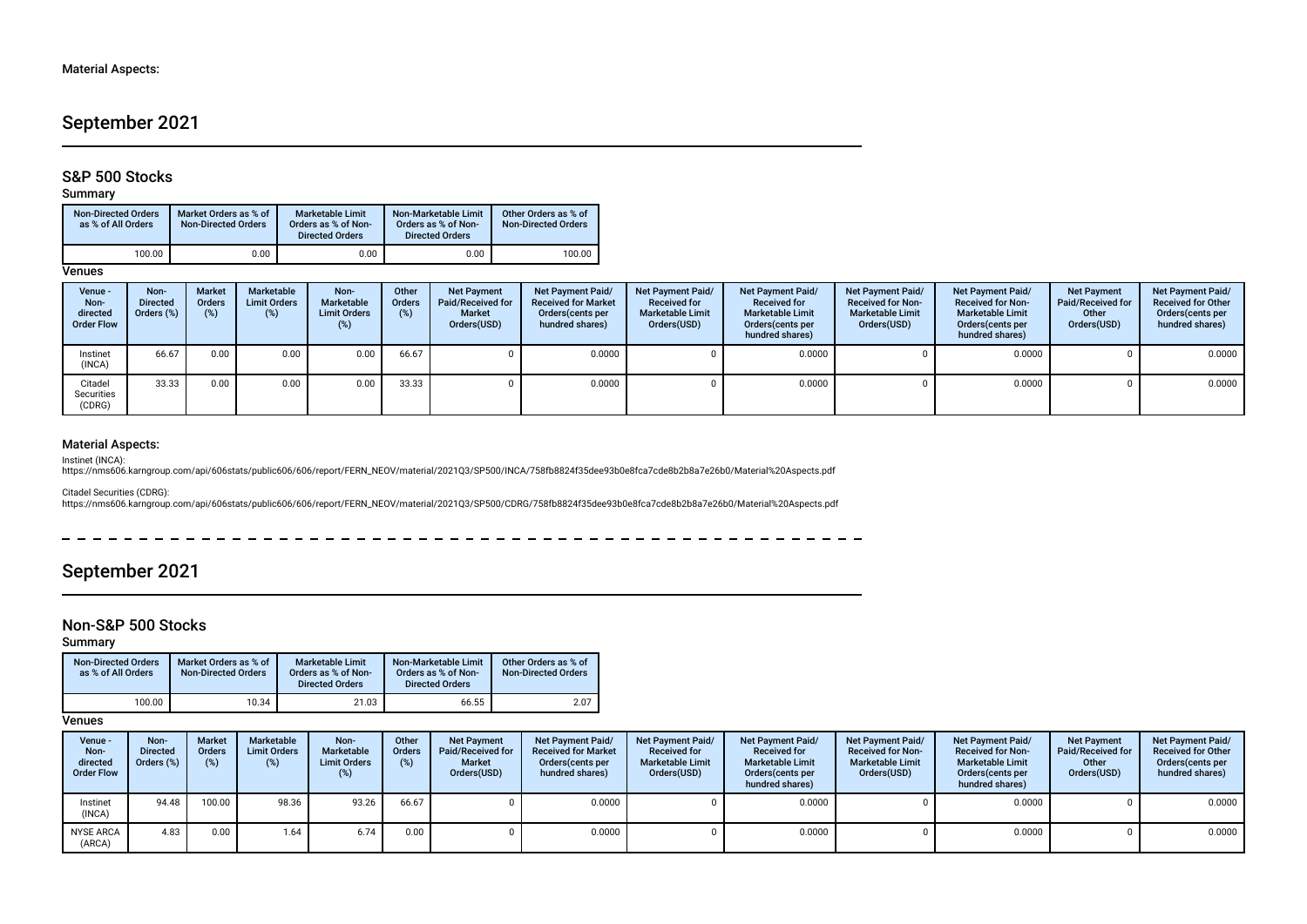# September 2021

### S&P 500 Stocks

### Summary

| <b>Non-Directed Orders</b><br>as % of All Orders | Market Orders as % of<br>Non-Directed Orders | <b>Marketable Limit</b><br>Orders as % of Non-<br><b>Directed Orders</b> | Non-Marketable Limit<br>Orders as % of Non-<br><b>Directed Orders</b> | Other Orders as % of<br><b>Non-Directed Orders</b> |
|--------------------------------------------------|----------------------------------------------|--------------------------------------------------------------------------|-----------------------------------------------------------------------|----------------------------------------------------|
| 100.00                                           | 0.00                                         | 0.00                                                                     | 0.00                                                                  | 100.00                                             |

### **Venues**

| Venue -<br>Non-<br>directed<br><b>Order Flow</b> | Non-<br><b>Directed</b><br>Orders (%) | <b>Market</b><br>Orders<br>(%) | Marketable<br><b>Limit Orders</b><br>(%) | Non-<br>Marketable<br><b>Limit Orders</b> | Other<br>Orders<br>(%) | <b>Net Payment</b><br>Paid/Received for<br><b>Market</b><br>Orders(USD) | Net Payment Paid/<br><b>Received for Market</b><br>Orders (cents per<br>hundred shares) | Net Payment Paid/<br><b>Received for</b><br><b>Marketable Limit</b><br>Orders(USD) | <b>Net Payment Paid/</b><br><b>Received for</b><br><b>Marketable Limit</b><br>Orders (cents per<br>hundred shares) | Net Payment Paid/<br><b>Received for Non-</b><br><b>Marketable Limit</b><br>Orders(USD) | <b>Net Payment Paid/</b><br><b>Received for Non-</b><br><b>Marketable Limit</b><br>Orders(cents per<br>hundred shares) | <b>Net Payment</b><br>Paid/Received for<br>Other<br>Orders(USD) | Net Payment Paid/<br><b>Received for Other</b><br>Orders(cents per<br>hundred shares) |
|--------------------------------------------------|---------------------------------------|--------------------------------|------------------------------------------|-------------------------------------------|------------------------|-------------------------------------------------------------------------|-----------------------------------------------------------------------------------------|------------------------------------------------------------------------------------|--------------------------------------------------------------------------------------------------------------------|-----------------------------------------------------------------------------------------|------------------------------------------------------------------------------------------------------------------------|-----------------------------------------------------------------|---------------------------------------------------------------------------------------|
| Instinet<br>(INCA)                               | 66.67                                 | 0.00                           | 0.00                                     | 0.00                                      | 66.67                  |                                                                         | 0.0000                                                                                  |                                                                                    | 0.0000                                                                                                             |                                                                                         | 0.0000                                                                                                                 |                                                                 | 0.0000                                                                                |
| Citadel<br>Securities<br>(CDRG)                  | 33.33                                 | 0.00                           | 0.00                                     | 0.00                                      | 33.33                  |                                                                         | 0.0000                                                                                  |                                                                                    | 0.0000                                                                                                             |                                                                                         | 0.0000                                                                                                                 |                                                                 | 0.0000                                                                                |

### Material Aspects:

Instinet (INCA):<br>https://nms606.karngroup.com/api/606stats/public606/606/report/FERN\_NEOV/material/2021Q3/SP500/INCA/758fb8824f35dee93b0e8fca7cde8b2b8a7e26b0/Material%20Aspects.pdf

Citadel Securities (CDRG):<br>https://nms606.karngroup.com/api/606stats/public606/606/report/FERN\_NEOV/material/2021Q3/SP500/CDRG/758fb8824f35dee93b0e8fca7cde8b2b8a7e26b0/Material%20Aspects.pdf

# September 2021

### Non-S&P 500 Stocks

Summary

| Non-Directed Orders<br>as % of All Orders | Market Orders as % of<br><b>Non-Directed Orders</b> | <b>Marketable Limit</b><br>Orders as % of Non-<br><b>Directed Orders</b> | Non-Marketable Limit<br>Orders as % of Non-<br><b>Directed Orders</b> | Other Orders as % of<br><b>Non-Directed Orders</b> |  |
|-------------------------------------------|-----------------------------------------------------|--------------------------------------------------------------------------|-----------------------------------------------------------------------|----------------------------------------------------|--|
| 100.00                                    | 10.34                                               | 21.03                                                                    | 66.55                                                                 | 2.07                                               |  |

| Venue -<br>Non-<br>directed<br><b>Order Flow</b> | Non-<br><b>Directed</b><br>Orders (%) | <b>Market</b><br><b>Orders</b><br>(%) | Marketable<br><b>Limit Orders</b><br>(%) | Non-<br><b>Marketable</b><br><b>Limit Orders</b> | Other<br><b>Orders</b><br>(%) | <b>Net Payment</b><br>Paid/Received for<br><b>Market</b><br>Orders(USD) | <b>Net Payment Paid/</b><br><b>Received for Market</b><br>Orders cents per<br>hundred shares) | <b>Net Payment Paid/</b><br><b>Received for</b><br><b>Marketable Limit</b><br>Orders(USD) | <b>Net Payment Paid/</b><br><b>Received for</b><br><b>Marketable Limit</b><br>Orders(cents per<br>hundred shares) | Net Payment Paid/<br><b>Received for Non-</b><br><b>Marketable Limit</b><br>Orders(USD) | <b>Net Payment Paid/</b><br><b>Received for Non-</b><br><b>Marketable Limit</b><br>Orders (cents per<br>hundred shares) | <b>Net Payment</b><br><b>Paid/Received for</b><br>Other<br>Orders(USD) | <b>Net Payment Paid/</b><br><b>Received for Other</b><br>Orders (cents per<br>hundred shares) |
|--------------------------------------------------|---------------------------------------|---------------------------------------|------------------------------------------|--------------------------------------------------|-------------------------------|-------------------------------------------------------------------------|-----------------------------------------------------------------------------------------------|-------------------------------------------------------------------------------------------|-------------------------------------------------------------------------------------------------------------------|-----------------------------------------------------------------------------------------|-------------------------------------------------------------------------------------------------------------------------|------------------------------------------------------------------------|-----------------------------------------------------------------------------------------------|
| Instinet<br>(INCA)                               | 94.48                                 | 100.00                                | 98.36                                    | 93.26                                            | 66.67                         |                                                                         | 0.0000                                                                                        |                                                                                           | 0.0000                                                                                                            |                                                                                         | 0.0000                                                                                                                  |                                                                        | 0.0000                                                                                        |
| <b>NYSE ARCA</b><br>(ARCA)                       | 4.83                                  | 0.00                                  | 1.64                                     | 6.74                                             | 0.00                          |                                                                         | 0.0000                                                                                        |                                                                                           | 0.0000                                                                                                            |                                                                                         | 0.0000                                                                                                                  |                                                                        | 0.0000                                                                                        |